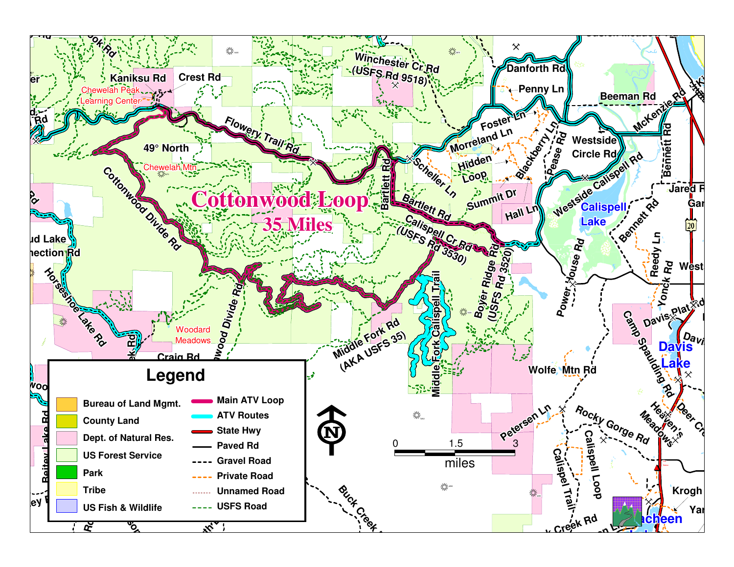